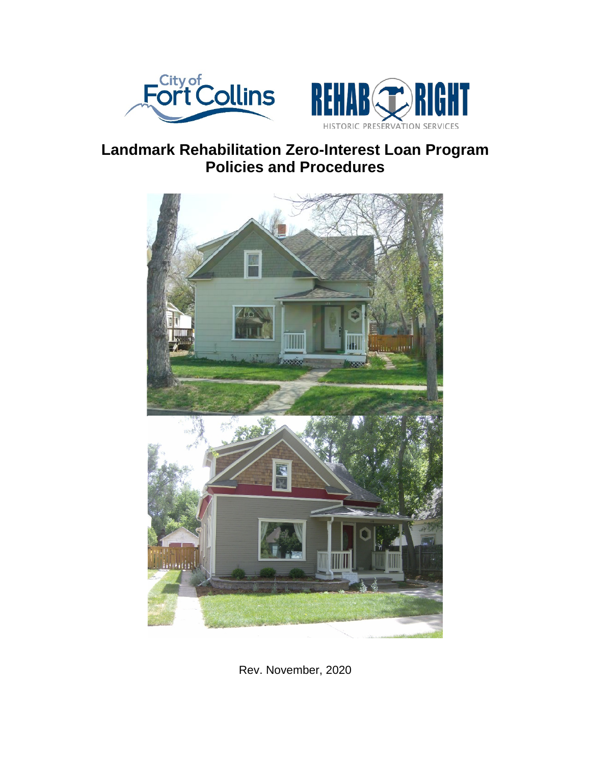



# **Landmark Rehabilitation Zero-Interest Loan Program Policies and Procedures**



Rev. November, 2020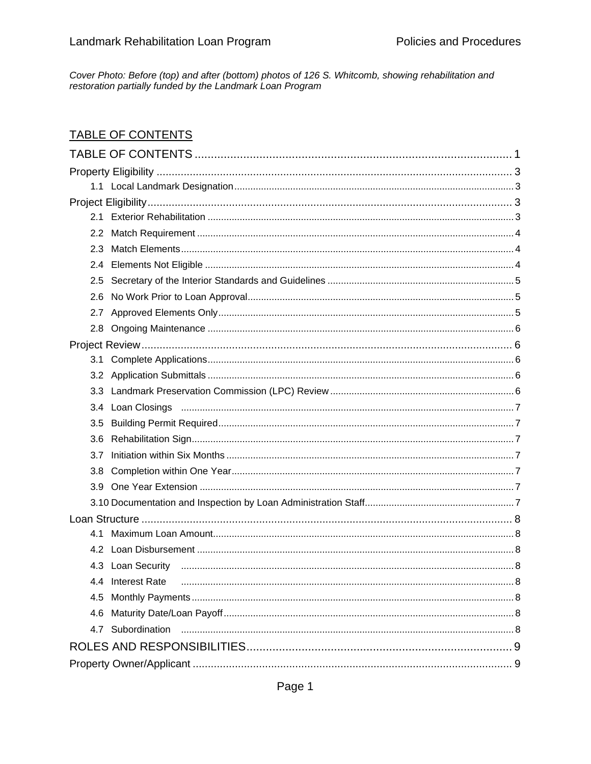Cover Photo: Before (top) and after (bottom) photos of 126 S. Whitcomb, showing rehabilitation and restoration partially funded by the Landmark Loan Program

# <span id="page-1-0"></span>**TABLE OF CONTENTS**

| 2.3              |                                                                                                                                                                                                                                |  |  |  |
|------------------|--------------------------------------------------------------------------------------------------------------------------------------------------------------------------------------------------------------------------------|--|--|--|
|                  |                                                                                                                                                                                                                                |  |  |  |
| 2.5              |                                                                                                                                                                                                                                |  |  |  |
| 2.6              |                                                                                                                                                                                                                                |  |  |  |
|                  |                                                                                                                                                                                                                                |  |  |  |
|                  |                                                                                                                                                                                                                                |  |  |  |
|                  |                                                                                                                                                                                                                                |  |  |  |
|                  |                                                                                                                                                                                                                                |  |  |  |
|                  |                                                                                                                                                                                                                                |  |  |  |
|                  |                                                                                                                                                                                                                                |  |  |  |
|                  |                                                                                                                                                                                                                                |  |  |  |
| 3.5              |                                                                                                                                                                                                                                |  |  |  |
| 3.6              |                                                                                                                                                                                                                                |  |  |  |
| 3.7              |                                                                                                                                                                                                                                |  |  |  |
| 3.8 <sub>1</sub> |                                                                                                                                                                                                                                |  |  |  |
|                  |                                                                                                                                                                                                                                |  |  |  |
|                  |                                                                                                                                                                                                                                |  |  |  |
|                  |                                                                                                                                                                                                                                |  |  |  |
| 4.1              |                                                                                                                                                                                                                                |  |  |  |
|                  |                                                                                                                                                                                                                                |  |  |  |
|                  |                                                                                                                                                                                                                                |  |  |  |
|                  | 4.4 Interest Rate manufactured and the contract of the contract of the contract of the contract of the contract of the contract of the contract of the contract of the contract of the contract of the contract of the contrac |  |  |  |
| 4.5              |                                                                                                                                                                                                                                |  |  |  |
| 4.6              |                                                                                                                                                                                                                                |  |  |  |
|                  | 4.7 Subordination                                                                                                                                                                                                              |  |  |  |
|                  |                                                                                                                                                                                                                                |  |  |  |
|                  |                                                                                                                                                                                                                                |  |  |  |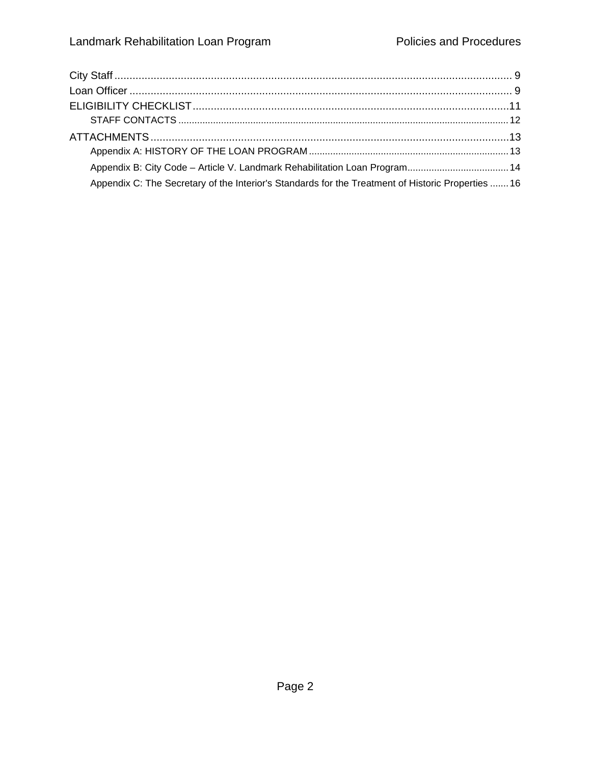| Appendix B: City Code - Article V. Landmark Rehabilitation Loan Program 14                        |  |
|---------------------------------------------------------------------------------------------------|--|
| Appendix C: The Secretary of the Interior's Standards for the Treatment of Historic Properties 16 |  |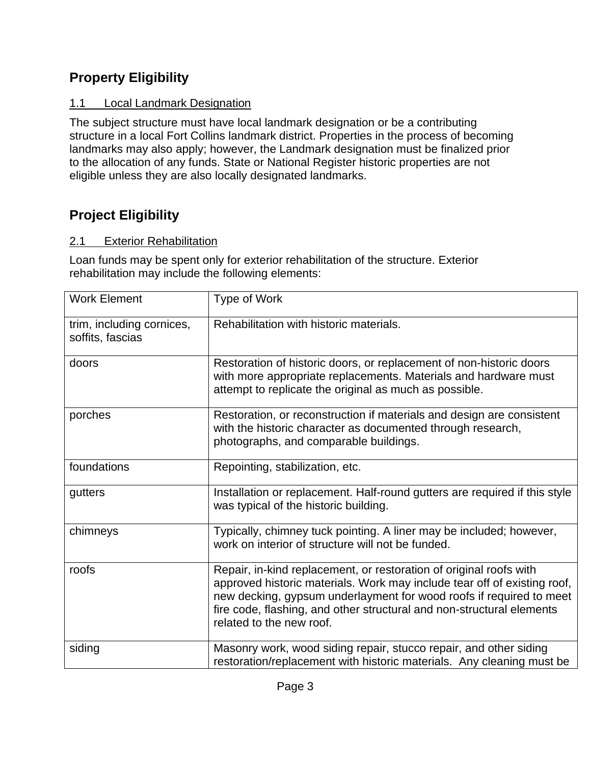# <span id="page-3-0"></span>**Property Eligibility**

# <span id="page-3-1"></span>1.1 Local Landmark Designation

The subject structure must have local landmark designation or be a contributing structure in a local Fort Collins landmark district. Properties in the process of becoming landmarks may also apply; however, the Landmark designation must be finalized prior to the allocation of any funds. State or National Register historic properties are not eligible unless they are also locally designated landmarks.

# <span id="page-3-2"></span>**Project Eligibility**

# <span id="page-3-3"></span>2.1 Exterior Rehabilitation

Loan funds may be spent only for exterior rehabilitation of the structure. Exterior rehabilitation may include the following elements:

| <b>Work Element</b>                           | Type of Work                                                                                                                                                                                                                                                                                                               |
|-----------------------------------------------|----------------------------------------------------------------------------------------------------------------------------------------------------------------------------------------------------------------------------------------------------------------------------------------------------------------------------|
| trim, including cornices,<br>soffits, fascias | Rehabilitation with historic materials.                                                                                                                                                                                                                                                                                    |
| doors                                         | Restoration of historic doors, or replacement of non-historic doors<br>with more appropriate replacements. Materials and hardware must<br>attempt to replicate the original as much as possible.                                                                                                                           |
| porches                                       | Restoration, or reconstruction if materials and design are consistent<br>with the historic character as documented through research,<br>photographs, and comparable buildings.                                                                                                                                             |
| foundations                                   | Repointing, stabilization, etc.                                                                                                                                                                                                                                                                                            |
| gutters                                       | Installation or replacement. Half-round gutters are required if this style<br>was typical of the historic building.                                                                                                                                                                                                        |
| chimneys                                      | Typically, chimney tuck pointing. A liner may be included; however,<br>work on interior of structure will not be funded.                                                                                                                                                                                                   |
| roofs                                         | Repair, in-kind replacement, or restoration of original roofs with<br>approved historic materials. Work may include tear off of existing roof,<br>new decking, gypsum underlayment for wood roofs if required to meet<br>fire code, flashing, and other structural and non-structural elements<br>related to the new roof. |
| siding                                        | Masonry work, wood siding repair, stucco repair, and other siding<br>restoration/replacement with historic materials. Any cleaning must be                                                                                                                                                                                 |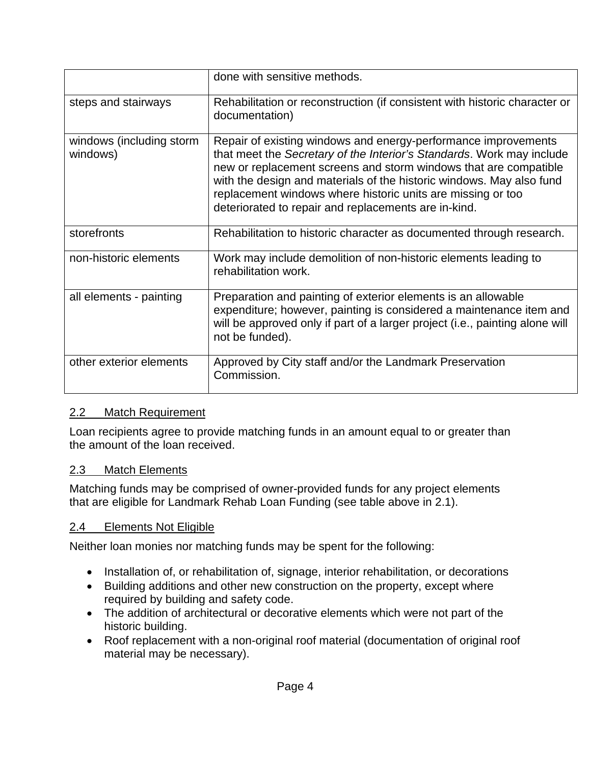|                                      | done with sensitive methods.                                                                                                                                                                                                                                                                                                                                                                               |
|--------------------------------------|------------------------------------------------------------------------------------------------------------------------------------------------------------------------------------------------------------------------------------------------------------------------------------------------------------------------------------------------------------------------------------------------------------|
| steps and stairways                  | Rehabilitation or reconstruction (if consistent with historic character or<br>documentation)                                                                                                                                                                                                                                                                                                               |
| windows (including storm<br>windows) | Repair of existing windows and energy-performance improvements<br>that meet the Secretary of the Interior's Standards. Work may include<br>new or replacement screens and storm windows that are compatible<br>with the design and materials of the historic windows. May also fund<br>replacement windows where historic units are missing or too<br>deteriorated to repair and replacements are in-kind. |
| storefronts                          | Rehabilitation to historic character as documented through research.                                                                                                                                                                                                                                                                                                                                       |
| non-historic elements                | Work may include demolition of non-historic elements leading to<br>rehabilitation work.                                                                                                                                                                                                                                                                                                                    |
| all elements - painting              | Preparation and painting of exterior elements is an allowable<br>expenditure; however, painting is considered a maintenance item and<br>will be approved only if part of a larger project (i.e., painting alone will<br>not be funded).                                                                                                                                                                    |
| other exterior elements              | Approved by City staff and/or the Landmark Preservation<br>Commission.                                                                                                                                                                                                                                                                                                                                     |

### <span id="page-4-0"></span>2.2 Match Requirement

Loan recipients agree to provide matching funds in an amount equal to or greater than the amount of the loan received.

#### <span id="page-4-1"></span>2.3 Match Elements

Matching funds may be comprised of owner-provided funds for any project elements that are eligible for Landmark Rehab Loan Funding (see table above in 2.1).

#### <span id="page-4-2"></span>2.4 Elements Not Eligible

Neither loan monies nor matching funds may be spent for the following:

- Installation of, or rehabilitation of, signage, interior rehabilitation, or decorations
- Building additions and other new construction on the property, except where required by building and safety code.
- The addition of architectural or decorative elements which were not part of the historic building.
- Roof replacement with a non-original roof material (documentation of original roof material may be necessary).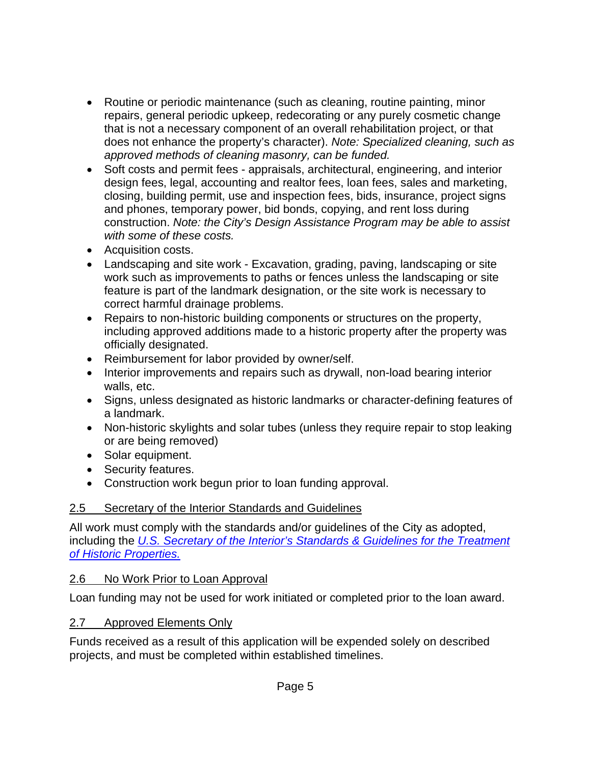- Routine or periodic maintenance (such as cleaning, routine painting, minor repairs, general periodic upkeep, redecorating or any purely cosmetic change that is not a necessary component of an overall rehabilitation project, or that does not enhance the property's character). *Note: Specialized cleaning, such as approved methods of cleaning masonry, can be funded.*
- Soft costs and permit fees appraisals, architectural, engineering, and interior design fees, legal, accounting and realtor fees, loan fees, sales and marketing, closing, building permit, use and inspection fees, bids, insurance, project signs and phones, temporary power, bid bonds, copying, and rent loss during construction. *Note: the City's Design Assistance Program may be able to assist with some of these costs.*
- Acquisition costs.
- Landscaping and site work Excavation, grading, paving, landscaping or site work such as improvements to paths or fences unless the landscaping or site feature is part of the landmark designation, or the site work is necessary to correct harmful drainage problems.
- Repairs to non-historic building components or structures on the property, including approved additions made to a historic property after the property was officially designated.
- Reimbursement for labor provided by owner/self.
- Interior improvements and repairs such as drywall, non-load bearing interior walls, etc.
- Signs, unless designated as historic landmarks or character-defining features of a landmark.
- Non-historic skylights and solar tubes (unless they require repair to stop leaking or are being removed)
- Solar equipment.
- Security features.
- Construction work begun prior to loan funding approval.

### <span id="page-5-0"></span>2.5 Secretary of the Interior Standards and Guidelines

All work must comply with the standards and/or guidelines of the City as adopted, including the *[U.S. Secretary of the Interior's Standards & Guidelines for the Treatment](https://www.nps.gov/tps/standards.htm)  [of Historic Properties.](https://www.nps.gov/tps/standards.htm)*

### <span id="page-5-1"></span>2.6 No Work Prior to Loan Approval

Loan funding may not be used for work initiated or completed prior to the loan award.

# <span id="page-5-2"></span>2.7 Approved Elements Only

Funds received as a result of this application will be expended solely on described projects, and must be completed within established timelines.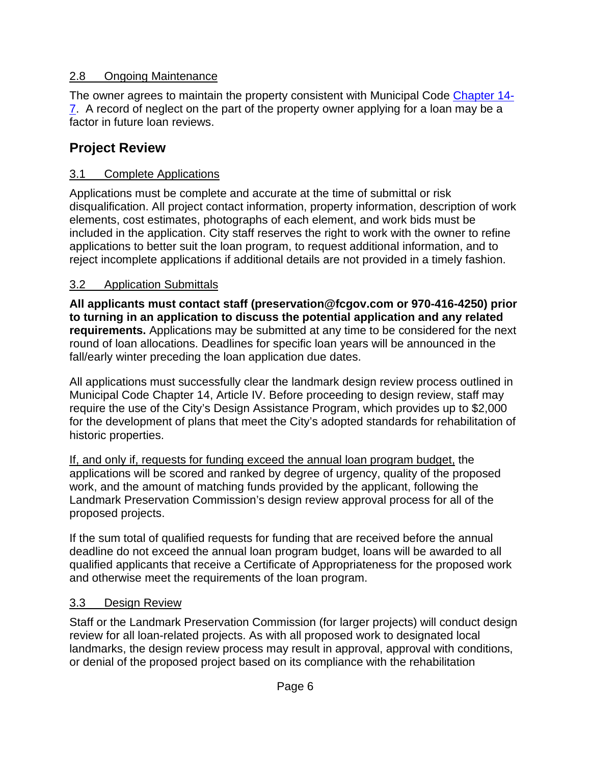## <span id="page-6-0"></span>2.8 Ongoing Maintenance

The owner agrees to maintain the property consistent with Municipal Code [Chapter 14-](https://library.municode.com/co/fort_collins/codes/municipal_code?nodeId=CH14LAPR_ARTIINGE_S14-7MIMAREDERE) [7.](https://library.municode.com/co/fort_collins/codes/municipal_code?nodeId=CH14LAPR_ARTIINGE_S14-7MIMAREDERE) A record of neglect on the part of the property owner applying for a loan may be a factor in future loan reviews.

# <span id="page-6-1"></span>**Project Review**

# <span id="page-6-2"></span>3.1 Complete Applications

Applications must be complete and accurate at the time of submittal or risk disqualification. All project contact information, property information, description of work elements, cost estimates, photographs of each element, and work bids must be included in the application. City staff reserves the right to work with the owner to refine applications to better suit the loan program, to request additional information, and to reject incomplete applications if additional details are not provided in a timely fashion.

## <span id="page-6-3"></span>3.2 Application Submittals

**All applicants must contact staff [\(preservation@fcgov.com](mailto:preservation@fcgov.com) or 970-416-4250) prior to turning in an application to discuss the potential application and any related requirements.** Applications may be submitted at any time to be considered for the next round of loan allocations. Deadlines for specific loan years will be announced in the fall/early winter preceding the loan application due dates.

All applications must successfully clear the landmark design review process outlined in Municipal Code Chapter 14, Article IV. Before proceeding to design review, staff may require the use of the City's Design Assistance Program, which provides up to \$2,000 for the development of plans that meet the City's adopted standards for rehabilitation of historic properties.

If, and only if, requests for funding exceed the annual loan program budget, the applications will be scored and ranked by degree of urgency, quality of the proposed work, and the amount of matching funds provided by the applicant, following the Landmark Preservation Commission's design review approval process for all of the proposed projects.

If the sum total of qualified requests for funding that are received before the annual deadline do not exceed the annual loan program budget, loans will be awarded to all qualified applicants that receive a Certificate of Appropriateness for the proposed work and otherwise meet the requirements of the loan program.

### <span id="page-6-4"></span>3.3 Design Review

Staff or the Landmark Preservation Commission (for larger projects) will conduct design review for all loan-related projects. As with all proposed work to designated local landmarks, the design review process may result in approval, approval with conditions, or denial of the proposed project based on its compliance with the rehabilitation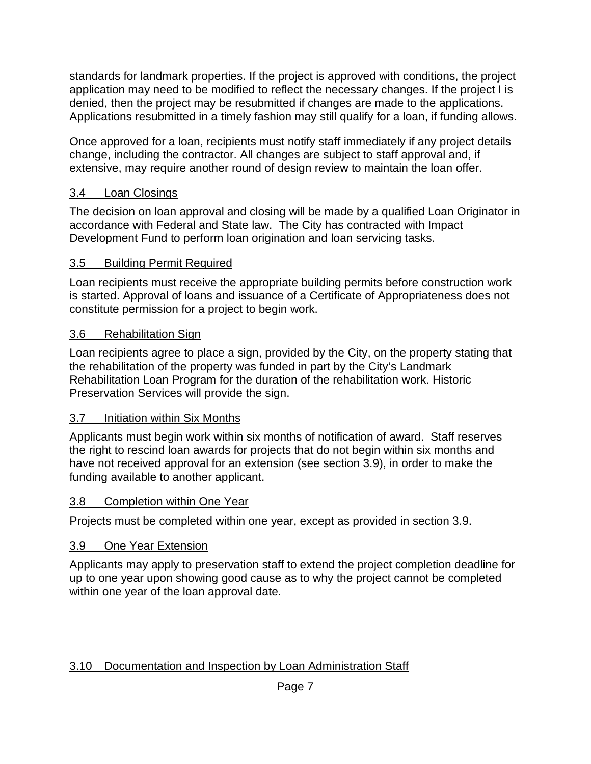standards for landmark properties. If the project is approved with conditions, the project application may need to be modified to reflect the necessary changes. If the project I is denied, then the project may be resubmitted if changes are made to the applications. Applications resubmitted in a timely fashion may still qualify for a loan, if funding allows.

Once approved for a loan, recipients must notify staff immediately if any project details change, including the contractor. All changes are subject to staff approval and, if extensive, may require another round of design review to maintain the loan offer.

### <span id="page-7-0"></span>3.4 Loan Closings

The decision on loan approval and closing will be made by a qualified Loan Originator in accordance with Federal and State law. The City has contracted with Impact Development Fund to perform loan origination and loan servicing tasks.

## <span id="page-7-1"></span>3.5 Building Permit Required

Loan recipients must receive the appropriate building permits before construction work is started. Approval of loans and issuance of a Certificate of Appropriateness does not constitute permission for a project to begin work.

### <span id="page-7-2"></span>3.6 Rehabilitation Sign

Loan recipients agree to place a sign, provided by the City, on the property stating that the rehabilitation of the property was funded in part by the City's Landmark Rehabilitation Loan Program for the duration of the rehabilitation work. Historic Preservation Services will provide the sign.

### <span id="page-7-3"></span>3.7 Initiation within Six Months

Applicants must begin work within six months of notification of award. Staff reserves the right to rescind loan awards for projects that do not begin within six months and have not received approval for an extension (see section 3.9), in order to make the funding available to another applicant.

### <span id="page-7-4"></span>3.8 Completion within One Year

Projects must be completed within one year, except as provided in section 3.9.

# <span id="page-7-5"></span>3.9 One Year Extension

Applicants may apply to preservation staff to extend the project completion deadline for up to one year upon showing good cause as to why the project cannot be completed within one year of the loan approval date.

# <span id="page-7-6"></span>3.10 Documentation and Inspection by Loan Administration Staff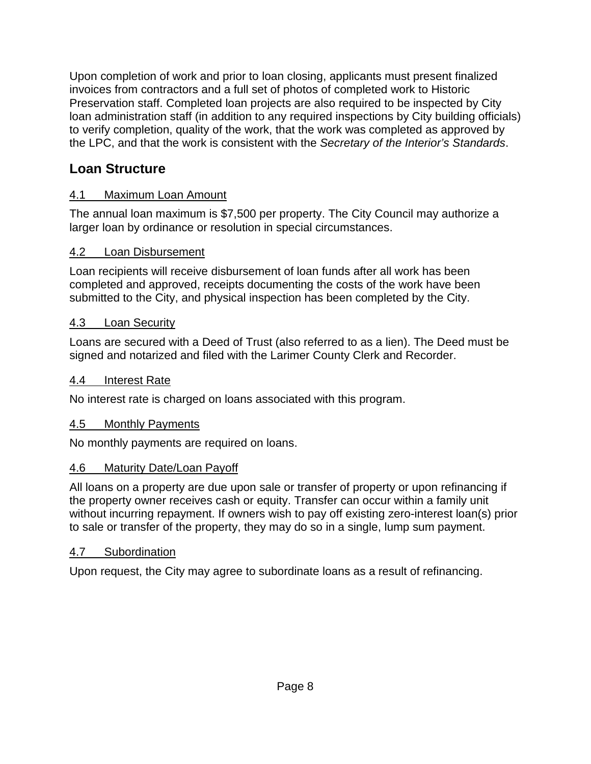Upon completion of work and prior to loan closing, applicants must present finalized invoices from contractors and a full set of photos of completed work to Historic Preservation staff. Completed loan projects are also required to be inspected by City loan administration staff (in addition to any required inspections by City building officials) to verify completion, quality of the work, that the work was completed as approved by the LPC, and that the work is consistent with the *Secretary of the Interior's Standards*.

# <span id="page-8-0"></span>**Loan Structure**

# <span id="page-8-1"></span>4.1 Maximum Loan Amount

The annual loan maximum is \$7,500 per property. The City Council may authorize a larger loan by ordinance or resolution in special circumstances.

## <span id="page-8-2"></span>4.2 Loan Disbursement

Loan recipients will receive disbursement of loan funds after all work has been completed and approved, receipts documenting the costs of the work have been submitted to the City, and physical inspection has been completed by the City.

## <span id="page-8-3"></span>4.3 Loan Security

Loans are secured with a Deed of Trust (also referred to as a lien). The Deed must be signed and notarized and filed with the Larimer County Clerk and Recorder.

### <span id="page-8-4"></span>4.4 Interest Rate

No interest rate is charged on loans associated with this program.

# <span id="page-8-5"></span>4.5 Monthly Payments

No monthly payments are required on loans.

### <span id="page-8-6"></span>4.6 Maturity Date/Loan Payoff

All loans on a property are due upon sale or transfer of property or upon refinancing if the property owner receives cash or equity. Transfer can occur within a family unit without incurring repayment. If owners wish to pay off existing zero-interest loan(s) prior to sale or transfer of the property, they may do so in a single, lump sum payment.

# <span id="page-8-7"></span>4.7 Subordination

Upon request, the City may agree to subordinate loans as a result of refinancing.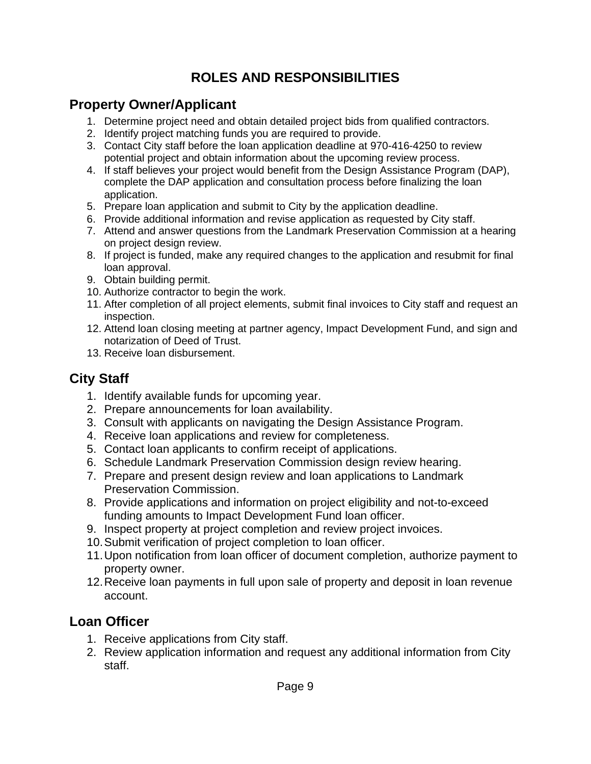# **ROLES AND RESPONSIBILITIES**

# <span id="page-9-1"></span><span id="page-9-0"></span>**Property Owner/Applicant**

- 1. Determine project need and obtain detailed project bids from qualified contractors.
- 2. Identify project matching funds you are required to provide.
- 3. Contact City staff before the loan application deadline at 970-416-4250 to review potential project and obtain information about the upcoming review process.
- 4. If staff believes your project would benefit from the Design Assistance Program (DAP), complete the DAP application and consultation process before finalizing the loan application.
- 5. Prepare loan application and submit to City by the application deadline.
- 6. Provide additional information and revise application as requested by City staff.
- 7. Attend and answer questions from the Landmark Preservation Commission at a hearing on project design review.
- 8. If project is funded, make any required changes to the application and resubmit for final loan approval.
- 9. Obtain building permit.
- 10. Authorize contractor to begin the work.
- 11. After completion of all project elements, submit final invoices to City staff and request an inspection.
- 12. Attend loan closing meeting at partner agency, Impact Development Fund, and sign and notarization of Deed of Trust.
- 13. Receive loan disbursement.

# <span id="page-9-2"></span>**City Staff**

- 1. Identify available funds for upcoming year.
- 2. Prepare announcements for loan availability.
- 3. Consult with applicants on navigating the Design Assistance Program.
- 4. Receive loan applications and review for completeness.
- 5. Contact loan applicants to confirm receipt of applications.
- 6. Schedule Landmark Preservation Commission design review hearing.
- 7. Prepare and present design review and loan applications to Landmark Preservation Commission.
- 8. Provide applications and information on project eligibility and not-to-exceed funding amounts to Impact Development Fund loan officer.
- 9. Inspect property at project completion and review project invoices.
- 10.Submit verification of project completion to loan officer.
- 11.Upon notification from loan officer of document completion, authorize payment to property owner.
- 12.Receive loan payments in full upon sale of property and deposit in loan revenue account.

# <span id="page-9-3"></span>**Loan Officer**

- 1. Receive applications from City staff.
- 2. Review application information and request any additional information from City staff.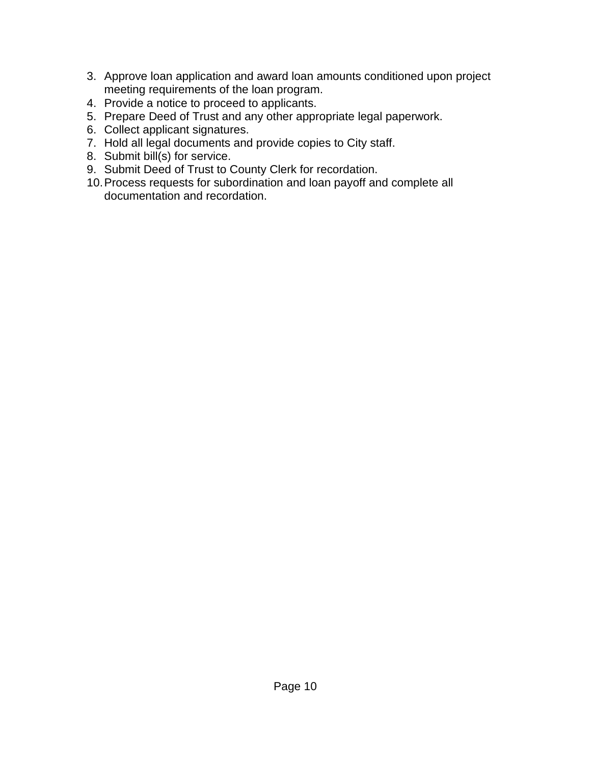- 3. Approve loan application and award loan amounts conditioned upon project meeting requirements of the loan program.
- 4. Provide a notice to proceed to applicants.
- 5. Prepare Deed of Trust and any other appropriate legal paperwork.
- 6. Collect applicant signatures.
- 7. Hold all legal documents and provide copies to City staff.
- 8. Submit bill(s) for service.
- 9. Submit Deed of Trust to County Clerk for recordation.
- 10.Process requests for subordination and loan payoff and complete all documentation and recordation.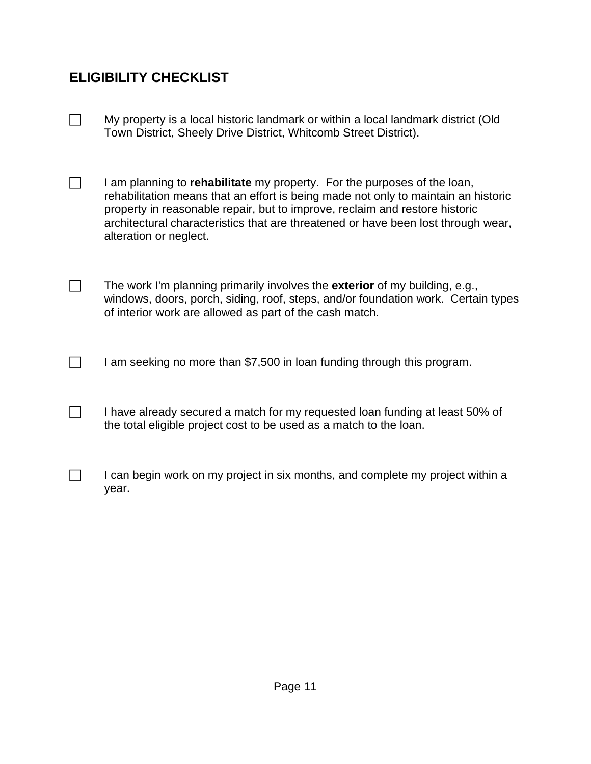# <span id="page-11-0"></span>**ELIGIBILITY CHECKLIST**

- $\Box$  My property is a local historic landmark or within a local landmark district (Old Town District, Sheely Drive District, Whitcomb Street District).
- $\Box$  I am planning to **rehabilitate** my property. For the purposes of the loan, rehabilitation means that an effort is being made not only to maintain an historic property in reasonable repair, but to improve, reclaim and restore historic architectural characteristics that are threatened or have been lost through wear, alteration or neglect.
- The work I'm planning primarily involves the **exterior** of my building, e.g., windows, doors, porch, siding, roof, steps, and/or foundation work. Certain types of interior work are allowed as part of the cash match.
- $\Box$  I am seeking no more than \$7,500 in loan funding through this program.
- $\Box$  I have already secured a match for my requested loan funding at least 50% of the total eligible project cost to be used as a match to the loan.
- $\Box$  I can begin work on my project in six months, and complete my project within a year.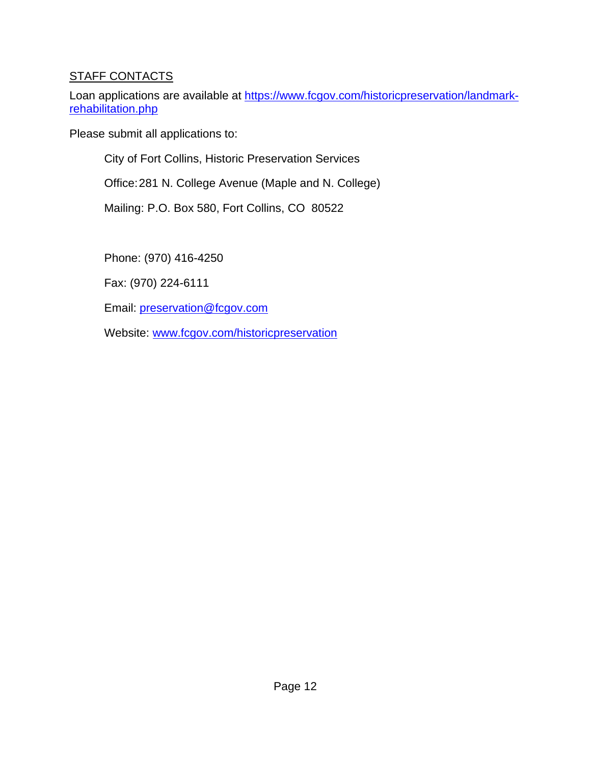## <span id="page-12-0"></span>STAFF CONTACTS

Loan applications are available at [https://www.fcgov.com/historicpreservation/landmark](https://www.fcgov.com/historicpreservation/landmark-rehabilitation.php)[rehabilitation.php](https://www.fcgov.com/historicpreservation/landmark-rehabilitation.php)

Please submit all applications to:

City of Fort Collins, Historic Preservation Services

Office:281 N. College Avenue (Maple and N. College)

Mailing: P.O. Box 580, Fort Collins, CO 80522

Phone: (970) 416-4250

Fax: (970) 224-6111

Email: [preservation@fcgov.com](mailto:preservation@fcgov.com)

Website: [www.fcgov.com/historicpreservation](http://www.fcgov.com/historicpreservation)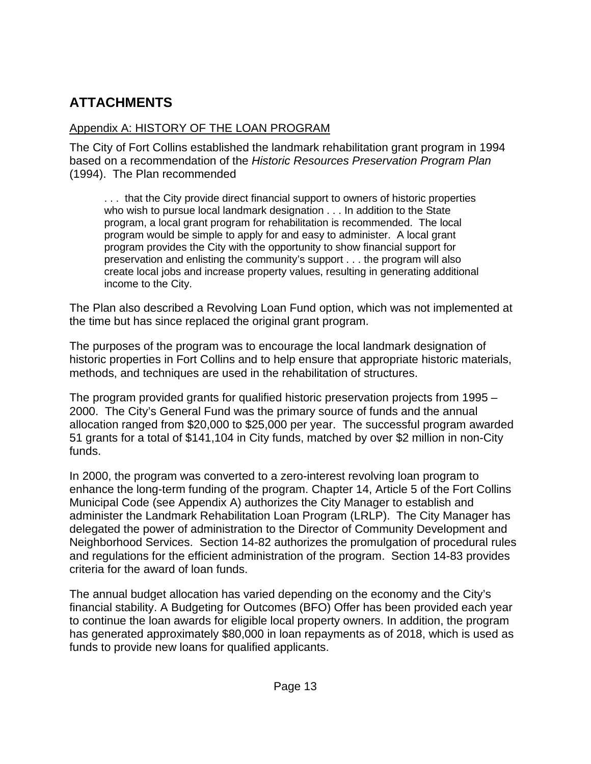# <span id="page-13-0"></span>**ATTACHMENTS**

## <span id="page-13-1"></span>Appendix A: HISTORY OF THE LOAN PROGRAM

The City of Fort Collins established the landmark rehabilitation grant program in 1994 based on a recommendation of the *Historic Resources Preservation Program Plan* (1994). The Plan recommended

. . . that the City provide direct financial support to owners of historic properties who wish to pursue local landmark designation . . . In addition to the State program, a local grant program for rehabilitation is recommended. The local program would be simple to apply for and easy to administer. A local grant program provides the City with the opportunity to show financial support for preservation and enlisting the community's support . . . the program will also create local jobs and increase property values, resulting in generating additional income to the City.

The Plan also described a Revolving Loan Fund option, which was not implemented at the time but has since replaced the original grant program.

The purposes of the program was to encourage the local landmark designation of historic properties in Fort Collins and to help ensure that appropriate historic materials, methods, and techniques are used in the rehabilitation of structures.

The program provided grants for qualified historic preservation projects from 1995 – 2000. The City's General Fund was the primary source of funds and the annual allocation ranged from \$20,000 to \$25,000 per year. The successful program awarded 51 grants for a total of \$141,104 in City funds, matched by over \$2 million in non-City funds.

In 2000, the program was converted to a zero-interest revolving loan program to enhance the long-term funding of the program. Chapter 14, Article 5 of the Fort Collins Municipal Code (see Appendix A) authorizes the City Manager to establish and administer the Landmark Rehabilitation Loan Program (LRLP). The City Manager has delegated the power of administration to the Director of Community Development and Neighborhood Services. Section 14-82 authorizes the promulgation of procedural rules and regulations for the efficient administration of the program. Section 14-83 provides criteria for the award of loan funds.

The annual budget allocation has varied depending on the economy and the City's financial stability. A Budgeting for Outcomes (BFO) Offer has been provided each year to continue the loan awards for eligible local property owners. In addition, the program has generated approximately \$80,000 in loan repayments as of 2018, which is used as funds to provide new loans for qualified applicants.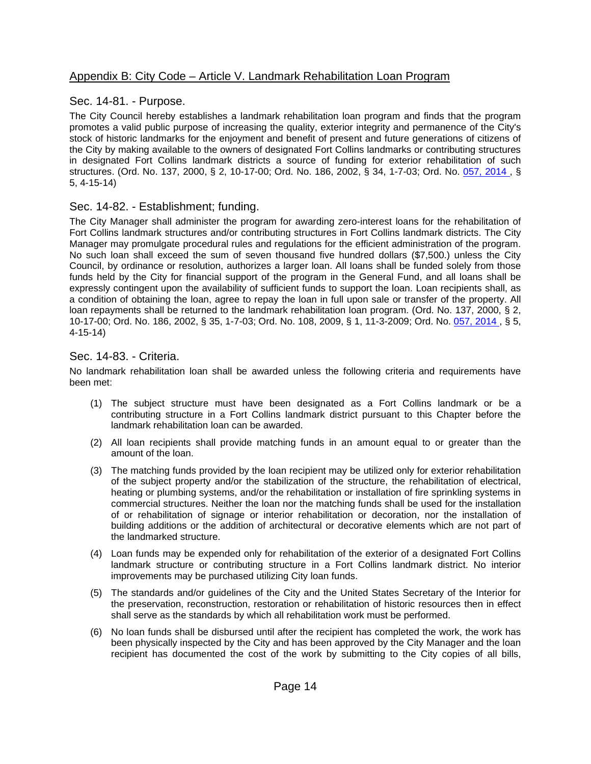#### <span id="page-14-0"></span>Appendix B: City Code – Article V. Landmark Rehabilitation Loan Program

#### Sec. 14-81. - Purpose.

The City Council hereby establishes a landmark rehabilitation loan program and finds that the program promotes a valid public purpose of increasing the quality, exterior integrity and permanence of the City's stock of historic landmarks for the enjoyment and benefit of present and future generations of citizens of the City by making available to the owners of designated Fort Collins landmarks or contributing structures in designated Fort Collins landmark districts a source of funding for exterior rehabilitation of such structures. (Ord. No. 137, 2000, § 2, 10-17-00; Ord. No. 186, 2002, § 34, 1-7-03; Ord. No. [057, 2014 ,](http://newords.municode.com/readordinance.aspx?ordinanceid=794450&datasource=ordbank) § 5, 4-15-14)

#### Sec. 14-82. - Establishment; funding.

The City Manager shall administer the program for awarding zero-interest loans for the rehabilitation of Fort Collins landmark structures and/or contributing structures in Fort Collins landmark districts. The City Manager may promulgate procedural rules and regulations for the efficient administration of the program. No such loan shall exceed the sum of seven thousand five hundred dollars (\$7,500.) unless the City Council, by ordinance or resolution, authorizes a larger loan. All loans shall be funded solely from those funds held by the City for financial support of the program in the General Fund, and all loans shall be expressly contingent upon the availability of sufficient funds to support the loan. Loan recipients shall, as a condition of obtaining the loan, agree to repay the loan in full upon sale or transfer of the property. All loan repayments shall be returned to the landmark rehabilitation loan program. (Ord. No. 137, 2000, § 2, 10-17-00; Ord. No. 186, 2002, § 35, 1-7-03; Ord. No. 108, 2009, § 1, 11-3-2009; Ord. No. [057, 2014 ,](http://newords.municode.com/readordinance.aspx?ordinanceid=794450&datasource=ordbank) § 5, 4-15-14)

#### Sec. 14-83. - Criteria.

No landmark rehabilitation loan shall be awarded unless the following criteria and requirements have been met:

- (1) The subject structure must have been designated as a Fort Collins landmark or be a contributing structure in a Fort Collins landmark district pursuant to this Chapter before the landmark rehabilitation loan can be awarded.
- (2) All loan recipients shall provide matching funds in an amount equal to or greater than the amount of the loan.
- (3) The matching funds provided by the loan recipient may be utilized only for exterior rehabilitation of the subject property and/or the stabilization of the structure, the rehabilitation of electrical, heating or plumbing systems, and/or the rehabilitation or installation of fire sprinkling systems in commercial structures. Neither the loan nor the matching funds shall be used for the installation of or rehabilitation of signage or interior rehabilitation or decoration, nor the installation of building additions or the addition of architectural or decorative elements which are not part of the landmarked structure.
- (4) Loan funds may be expended only for rehabilitation of the exterior of a designated Fort Collins landmark structure or contributing structure in a Fort Collins landmark district. No interior improvements may be purchased utilizing City loan funds.
- (5) The standards and/or guidelines of the City and the United States Secretary of the Interior for the preservation, reconstruction, restoration or rehabilitation of historic resources then in effect shall serve as the standards by which all rehabilitation work must be performed.
- (6) No loan funds shall be disbursed until after the recipient has completed the work, the work has been physically inspected by the City and has been approved by the City Manager and the loan recipient has documented the cost of the work by submitting to the City copies of all bills,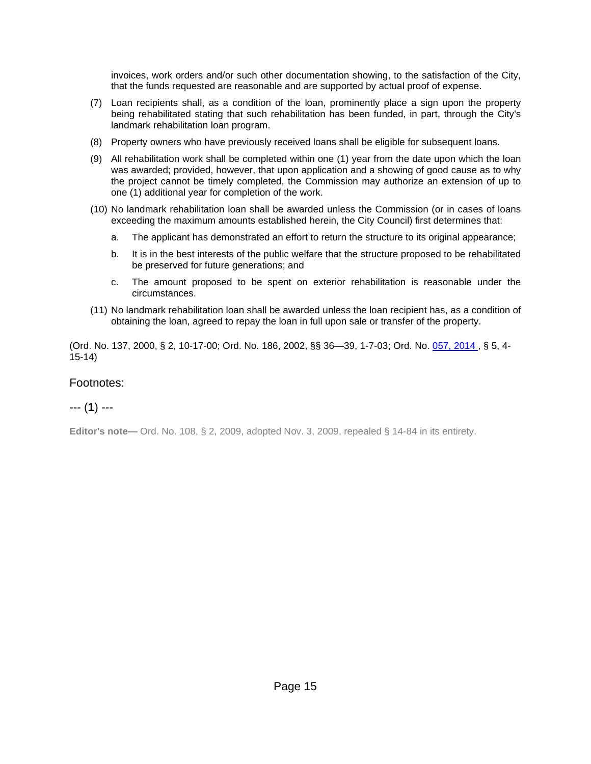invoices, work orders and/or such other documentation showing, to the satisfaction of the City, that the funds requested are reasonable and are supported by actual proof of expense.

- (7) Loan recipients shall, as a condition of the loan, prominently place a sign upon the property being rehabilitated stating that such rehabilitation has been funded, in part, through the City's landmark rehabilitation loan program.
- (8) Property owners who have previously received loans shall be eligible for subsequent loans.
- (9) All rehabilitation work shall be completed within one (1) year from the date upon which the loan was awarded; provided, however, that upon application and a showing of good cause as to why the project cannot be timely completed, the Commission may authorize an extension of up to one (1) additional year for completion of the work.
- (10) No landmark rehabilitation loan shall be awarded unless the Commission (or in cases of loans exceeding the maximum amounts established herein, the City Council) first determines that:
	- a. The applicant has demonstrated an effort to return the structure to its original appearance;
	- b. It is in the best interests of the public welfare that the structure proposed to be rehabilitated be preserved for future generations; and
	- c. The amount proposed to be spent on exterior rehabilitation is reasonable under the circumstances.
- (11) No landmark rehabilitation loan shall be awarded unless the loan recipient has, as a condition of obtaining the loan, agreed to repay the loan in full upon sale or transfer of the property.

(Ord. No. 137, 2000, § 2, 10-17-00; Ord. No. 186, 2002, §§ 36—39, 1-7-03; Ord. No. [057, 2014 ,](http://newords.municode.com/readordinance.aspx?ordinanceid=794450&datasource=ordbank) § 5, 4- 15-14)

#### Footnotes:

#### --- (**1**) ---

**Editor's note—** Ord. No. 108, § 2, 2009, adopted Nov. 3, 2009, repealed § 14-84 in its entirety.